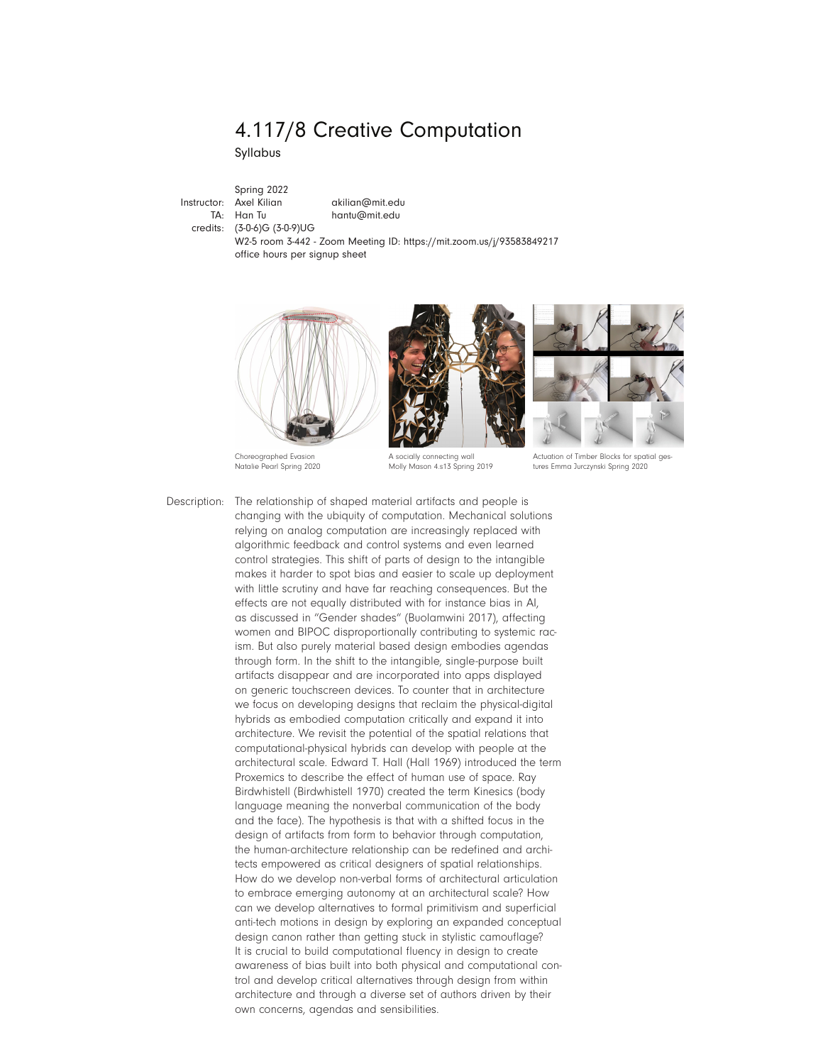# 4.117/8 Creative Computation

Syllabus

Instructor: TA: Han Tu credits: (3-0-6)G (3-0-9)UG Spring 2022

Axel Kilian akilian@mit.edu hantu@mit.edu

W2-5 room 3-442 - Zoom Meeting ID: https://mit.zoom.us/j/93583849217

office hours per signup sheet





tures Emma Jurczynski Spring 2020

Choreographed Evasion Natalie Pearl Spring 2020 A socially connecting wall Molly Mason 4.s13 Spring 2019

Description: The relationship of shaped material artifacts and people is changing with the ubiquity of computation. Mechanical solutions relying on analog computation are increasingly replaced with algorithmic feedback and control systems and even learned control strategies. This shift of parts of design to the intangible makes it harder to spot bias and easier to scale up deployment with little scrutiny and have far reaching consequences. But the effects are not equally distributed with for instance bias in AI, as discussed in "Gender shades" (Buolamwini 2017), affecting women and BIPOC disproportionally contributing to systemic racism. But also purely material based design embodies agendas through form. In the shift to the intangible, single-purpose built artifacts disappear and are incorporated into apps displayed on generic touchscreen devices. To counter that in architecture we focus on developing designs that reclaim the physical-digital hybrids as embodied computation critically and expand it into architecture. We revisit the potential of the spatial relations that computational-physical hybrids can develop with people at the architectural scale. Edward T. Hall (Hall 1969) introduced the term Proxemics to describe the effect of human use of space. Ray Birdwhistell (Birdwhistell 1970) created the term Kinesics (body language meaning the nonverbal communication of the body and the face). The hypothesis is that with a shifted focus in the design of artifacts from form to behavior through computation, the human-architecture relationship can be redefined and architects empowered as critical designers of spatial relationships. How do we develop non-verbal forms of architectural articulation to embrace emerging autonomy at an architectural scale? How can we develop alternatives to formal primitivism and superficial anti-tech motions in design by exploring an expanded conceptual design canon rather than getting stuck in stylistic camouflage? It is crucial to build computational fluency in design to create awareness of bias built into both physical and computational control and develop critical alternatives through design from within architecture and through a diverse set of authors driven by their own concerns, agendas and sensibilities.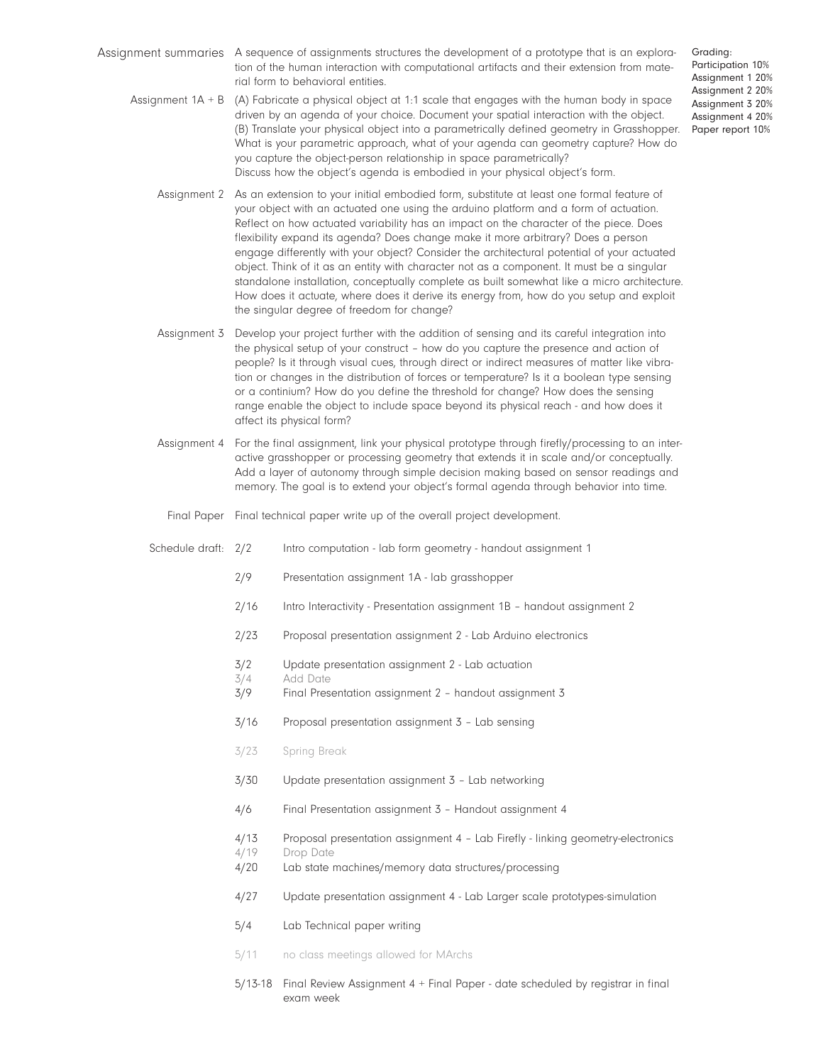- Assignment summaries A sequence of assignments structures the development of a prototype that is an exploration of the human interaction with computational artifacts and their extension from material form to behavioral entities.
	- (A) Fabricate a physical object at 1:1 scale that engages with the human body in space driven by an agenda of your choice. Document your spatial interaction with the object. (B) Translate your physical object into a parametrically defined geometry in Grasshopper. What is your parametric approach, what of your agenda can geometry capture? How do you capture the object-person relationship in space parametrically? Discuss how the object's agenda is embodied in your physical object's form. Assignment 1A + B
		- Assignment 2 As an extension to your initial embodied form, substitute at least one formal feature of your object with an actuated one using the arduino platform and a form of actuation. Reflect on how actuated variability has an impact on the character of the piece. Does flexibility expand its agenda? Does change make it more arbitrary? Does a person engage differently with your object? Consider the architectural potential of your actuated object. Think of it as an entity with character not as a component. It must be a singular standalone installation, conceptually complete as built somewhat like a micro architecture. How does it actuate, where does it derive its energy from, how do you setup and exploit the singular degree of freedom for change?
		- Assignment 3 Develop your project further with the addition of sensing and its careful integration into the physical setup of your construct – how do you capture the presence and action of people? Is it through visual cues, through direct or indirect measures of matter like vibration or changes in the distribution of forces or temperature? Is it a boolean type sensing or a continium? How do you define the threshold for change? How does the sensing range enable the object to include space beyond its physical reach - and how does it affect its physical form?
		- Assignment 4 For the final assignment, link your physical prototype through firefly/processing to an interactive grasshopper or processing geometry that extends it in scale and/or conceptually. Add a layer of autonomy through simple decision making based on sensor readings and memory. The goal is to extend your object's formal agenda through behavior into time.
			- Final Paper Final technical paper write up of the overall project development.
		- Intro computation lab form geometry handout assignment 1 Schedule draft: 2/2
			- 2/9 Presentation assignment 1A lab grasshopper
			- 2/16 Intro Interactivity Presentation assignment 1B handout assignment 2
			- 2/23 Proposal presentation assignment 2 Lab Arduino electronics
			- 3/2 Update presentation assignment 2 Lab actuation
			- 3/4 Add Date
			- 3/9 Final Presentation assignment 2 handout assignment 3
			- 3/16 Proposal presentation assignment 3 Lab sensing
			- 3/23 Spring Break
			- 3/30 Update presentation assignment 3 Lab networking
			- 4/6 Final Presentation assignment 3 Handout assignment 4
			- 4/13 Proposal presentation assignment 4 Lab Firefly linking geometry-electronics
			- 4/19 Drop Date
			- 4/20 Lab state machines/memory data structures/processing
			- 4/27 Update presentation assignment 4 Lab Larger scale prototypes-simulation
			- 5/4 Lab Technical paper writing
			- 5/11 no class meetings allowed for MArchs
			- 5/13-18 Final Review Assignment 4 + Final Paper date scheduled by registrar in final exam week

Grading: Participation 10% Assignment 1 20% Assignment 2 20% Assignment 3 20% Assignment 4 20% Paper report 10%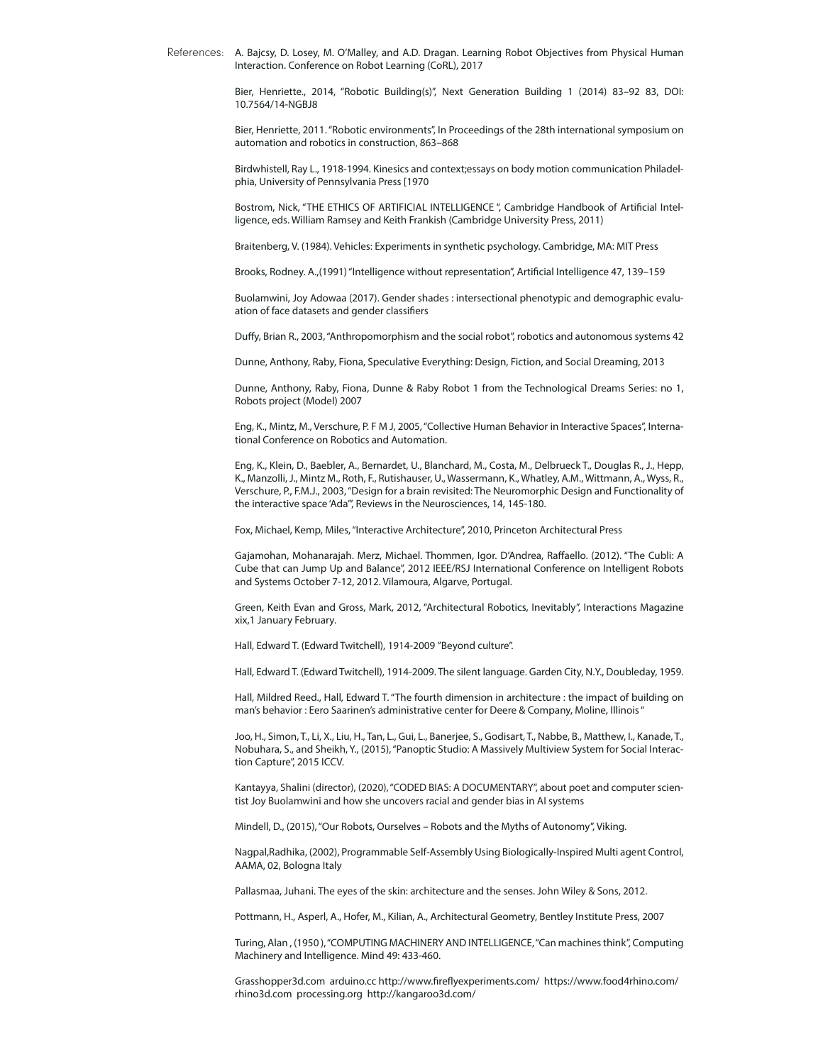A. Bajcsy, D. Losey, M. O'Malley, and A.D. Dragan. Learning Robot Objectives from Physical Human Interaction. Conference on Robot Learning (CoRL), 2017 References:

> Bier, Henriette., 2014, "Robotic Building(s)", Next Generation Building 1 (2014) 83–92 83, DOI: 10.7564/14-NGBJ8

> Bier, Henriette, 2011. "Robotic environments", In Proceedings of the 28th international symposium on automation and robotics in construction, 863–868

> Birdwhistell, Ray L., 1918-1994. Kinesics and context;essays on body motion communication Philadelphia, University of Pennsylvania Press [1970

> Bostrom, Nick, "THE ETHICS OF ARTIFICIAL INTELLIGENCE ", Cambridge Handbook of Artificial Intelligence, eds. William Ramsey and Keith Frankish (Cambridge University Press, 2011)

Braitenberg, V. (1984). Vehicles: Experiments in synthetic psychology. Cambridge, MA: MIT Press

Brooks, Rodney. A.,(1991) "Intelligence without representation", Artificial Intelligence 47, 139–159

Buolamwini, Joy Adowaa (2017). Gender shades : intersectional phenotypic and demographic evaluation of face datasets and gender classifiers

Duffy, Brian R., 2003, "Anthropomorphism and the social robot", robotics and autonomous systems 42

Dunne, Anthony, Raby, Fiona, Speculative Everything: Design, Fiction, and Social Dreaming, 2013

Dunne, Anthony, Raby, Fiona, Dunne & Raby Robot 1 from the Technological Dreams Series: no 1, Robots project (Model) 2007

Eng, K., Mintz, M., Verschure, P. F M J, 2005, "Collective Human Behavior in Interactive Spaces", International Conference on Robotics and Automation.

Eng, K., Klein, D., Baebler, A., Bernardet, U., Blanchard, M., Costa, M., Delbrueck T., Douglas R., J., Hepp, K., Manzolli, J., Mintz M., Roth, F., Rutishauser, U., Wassermann, K., Whatley, A.M., Wittmann, A., Wyss, R., Verschure, P., F.M.J., 2003, "Design for a brain revisited: The Neuromorphic Design and Functionality of the interactive space 'Ada'", Reviews in the Neurosciences, 14, 145-180.

Fox, Michael, Kemp, Miles, "Interactive Architecture", 2010, Princeton Architectural Press

Gajamohan, Mohanarajah. Merz, Michael. Thommen, Igor. D'Andrea, Raffaello. (2012). "The Cubli: A Cube that can Jump Up and Balance", 2012 IEEE/RSJ International Conference on Intelligent Robots and Systems October 7-12, 2012. Vilamoura, Algarve, Portugal.

Green, Keith Evan and Gross, Mark, 2012, "Architectural Robotics, Inevitably", Interactions Magazine xix,1 January February.

Hall, Edward T. (Edward Twitchell), 1914-2009 "Beyond culture".

Hall, Edward T. (Edward Twitchell), 1914-2009. The silent language. Garden City, N.Y., Doubleday, 1959.

Hall, Mildred Reed., Hall, Edward T. "The fourth dimension in architecture : the impact of building on man's behavior : Eero Saarinen's administrative center for Deere & Company, Moline, Illinois "

Joo, H., Simon, T., Li, X., Liu, H., Tan, L., Gui, L., Banerjee, S., Godisart, T., Nabbe, B., Matthew, I., Kanade, T., Nobuhara, S., and Sheikh, Y., (2015), "Panoptic Studio: A Massively Multiview System for Social Interaction Capture", 2015 ICCV.

Kantayya, Shalini (director), (2020), "CODED BIAS: A DOCUMENTARY", about poet and computer scientist Joy Buolamwini and how she uncovers racial and gender bias in AI systems

Mindell, D., (2015), "Our Robots, Ourselves – Robots and the Myths of Autonomy", Viking.

Nagpal,Radhika, (2002), Programmable Self-Assembly Using Biologically-Inspired Multi agent Control, AAMA, 02, Bologna Italy

Pallasmaa, Juhani. The eyes of the skin: architecture and the senses. John Wiley & Sons, 2012.

Pottmann, H., Asperl, A., Hofer, M., Kilian, A., Architectural Geometry, Bentley Institute Press, 2007

Turing, Alan , (1950 ), "COMPUTING MACHINERY AND INTELLIGENCE, "Can machines think", Computing Machinery and Intelligence. Mind 49: 433-460.

Grasshopper3d.com arduino.cc http://www.fireflyexperiments.com/ https://www.food4rhino.com/ rhino3d.com processing.org http://kangaroo3d.com/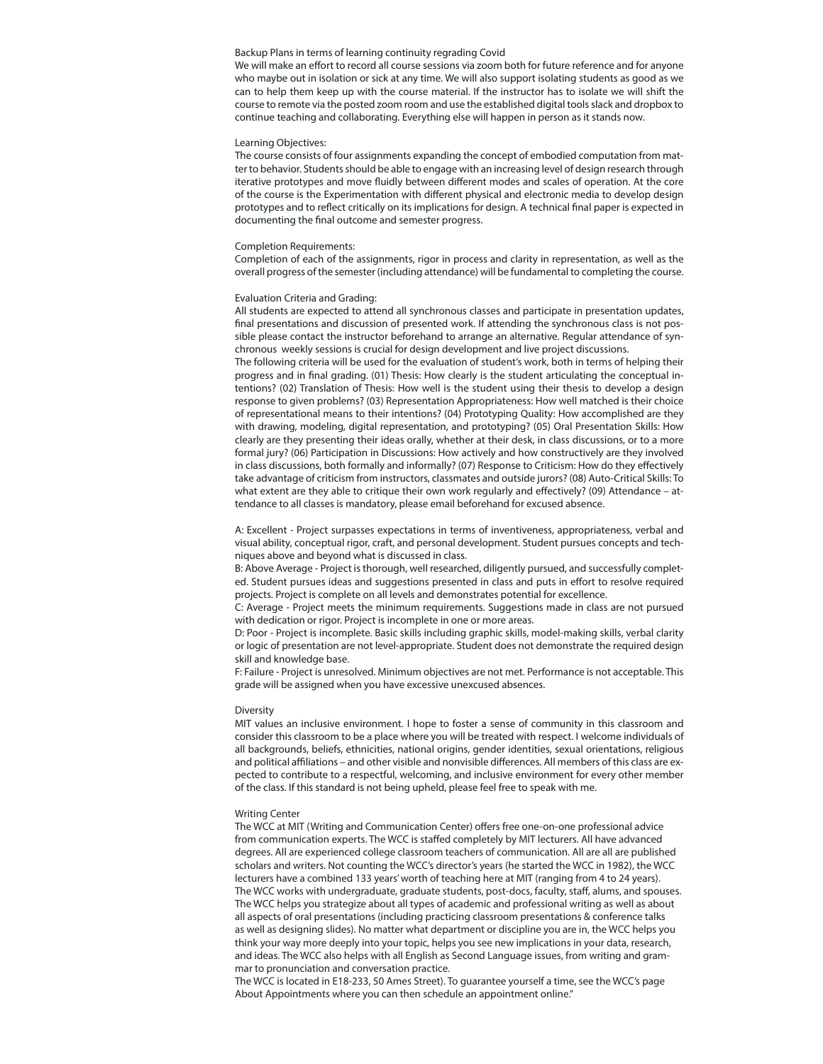# Backup Plans in terms of learning continuity regrading Covid

We will make an effort to record all course sessions via zoom both for future reference and for anyone who maybe out in isolation or sick at any time. We will also support isolating students as good as we can to help them keep up with the course material. If the instructor has to isolate we will shift the course to remote via the posted zoom room and use the established digital tools slack and dropbox to continue teaching and collaborating. Everything else will happen in person as it stands now.

#### Learning Objectives:

The course consists of four assignments expanding the concept of embodied computation from matter to behavior. Students should be able to engage with an increasing level of design research through iterative prototypes and move fluidly between different modes and scales of operation. At the core of the course is the Experimentation with different physical and electronic media to develop design prototypes and to reflect critically on its implications for design. A technical final paper is expected in documenting the final outcome and semester progress.

#### Completion Requirements:

Completion of each of the assignments, rigor in process and clarity in representation, as well as the overall progress of the semester (including attendance) will be fundamental to completing the course.

## Evaluation Criteria and Grading:

All students are expected to attend all synchronous classes and participate in presentation updates, final presentations and discussion of presented work. If attending the synchronous class is not possible please contact the instructor beforehand to arrange an alternative. Regular attendance of synchronous weekly sessions is crucial for design development and live project discussions.

The following criteria will be used for the evaluation of student's work, both in terms of helping their progress and in final grading. (01) Thesis: How clearly is the student articulating the conceptual intentions? (02) Translation of Thesis: How well is the student using their thesis to develop a design response to given problems? (03) Representation Appropriateness: How well matched is their choice of representational means to their intentions? (04) Prototyping Quality: How accomplished are they with drawing, modeling, digital representation, and prototyping? (05) Oral Presentation Skills: How clearly are they presenting their ideas orally, whether at their desk, in class discussions, or to a more formal jury? (06) Participation in Discussions: How actively and how constructively are they involved in class discussions, both formally and informally? (07) Response to Criticism: How do they effectively take advantage of criticism from instructors, classmates and outside jurors? (08) Auto-Critical Skills: To what extent are they able to critique their own work regularly and effectively? (09) Attendance - attendance to all classes is mandatory, please email beforehand for excused absence.

A: Excellent - Project surpasses expectations in terms of inventiveness, appropriateness, verbal and visual ability, conceptual rigor, craft, and personal development. Student pursues concepts and techniques above and beyond what is discussed in class.

B: Above Average - Project is thorough, well researched, diligently pursued, and successfully completed. Student pursues ideas and suggestions presented in class and puts in effort to resolve required projects. Project is complete on all levels and demonstrates potential for excellence.

C: Average - Project meets the minimum requirements. Suggestions made in class are not pursued with dedication or rigor. Project is incomplete in one or more areas.

D: Poor - Project is incomplete. Basic skills including graphic skills, model-making skills, verbal clarity or logic of presentation are not level-appropriate. Student does not demonstrate the required design skill and knowledge base.

F: Failure - Project is unresolved. Minimum objectives are not met. Performance is not acceptable. This grade will be assigned when you have excessive unexcused absences.

## Diversity

MIT values an inclusive environment. I hope to foster a sense of community in this classroom and consider this classroom to be a place where you will be treated with respect. I welcome individuals of all backgrounds, beliefs, ethnicities, national origins, gender identities, sexual orientations, religious and political affiliations – and other visible and nonvisible differences. All members of this class are expected to contribute to a respectful, welcoming, and inclusive environment for every other member of the class. If this standard is not being upheld, please feel free to speak with me.

#### Writing Center

The WCC at MIT (Writing and Communication Center) offers free one-on-one professional advice from communication experts. The WCC is staffed completely by MIT lecturers. All have advanced degrees. All are experienced college classroom teachers of communication. All are all are published scholars and writers. Not counting the WCC's director's years (he started the WCC in 1982), the WCC lecturers have a combined 133 years' worth of teaching here at MIT (ranging from 4 to 24 years). The WCC works with undergraduate, graduate students, post-docs, faculty, staff, alums, and spouses. The WCC helps you strategize about all types of academic and professional writing as well as about all aspects of oral presentations (including practicing classroom presentations & conference talks as well as designing slides). No matter what department or discipline you are in, the WCC helps you think your way more deeply into your topic, helps you see new implications in your data, research, and ideas. The WCC also helps with all English as Second Language issues, from writing and grammar to pronunciation and conversation practice.

The WCC is located in E18-233, 50 Ames Street). To guarantee yourself a time, see the WCC's page About Appointments where you can then schedule an appointment online."